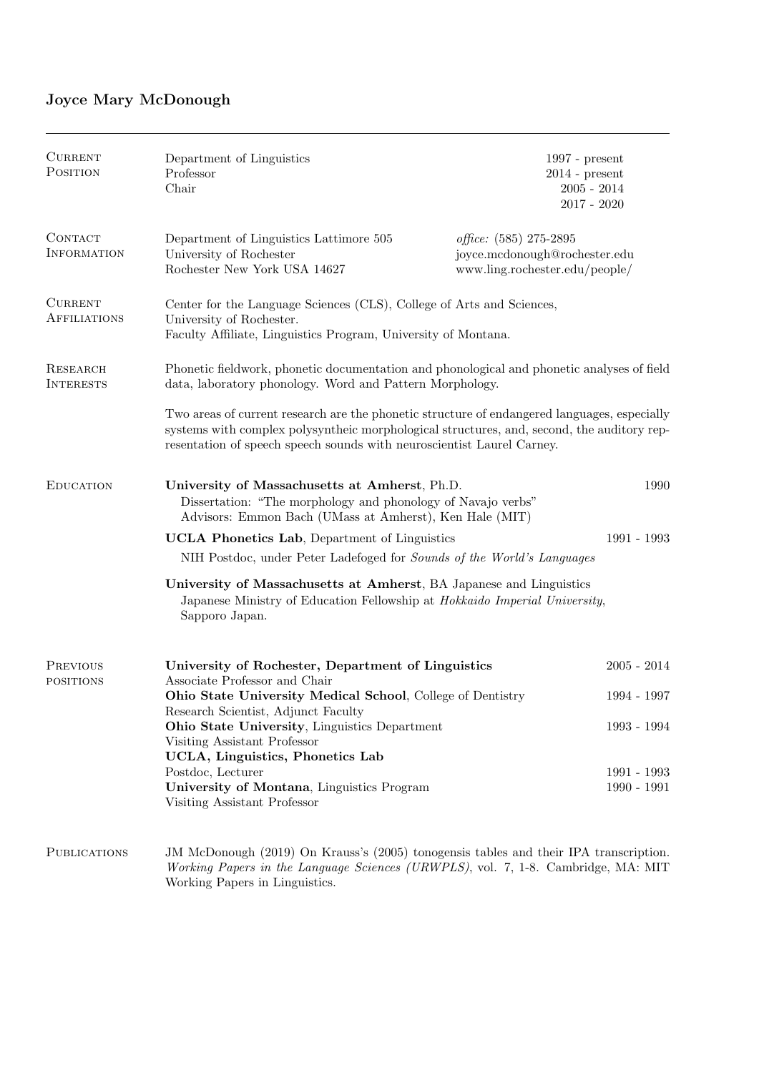# Joyce Mary McDonough

| <b>CURRENT</b><br>POSITION            | Department of Linguistics<br>Professor<br>Chair                                                                                                                                                                                                                      |                                                                                           | $1997$ - present<br>$2014$ - present<br>$2005 - 2014$<br>$2017 - 2020$ |  |
|---------------------------------------|----------------------------------------------------------------------------------------------------------------------------------------------------------------------------------------------------------------------------------------------------------------------|-------------------------------------------------------------------------------------------|------------------------------------------------------------------------|--|
| CONTACT<br><b>INFORMATION</b>         | Department of Linguistics Lattimore 505<br>University of Rochester<br>Rochester New York USA 14627                                                                                                                                                                   | office: (585) 275-2895<br>joyce.mcdonough@rochester.edu<br>www.ling.rochester.edu/people/ |                                                                        |  |
| <b>CURRENT</b><br><b>AFFILIATIONS</b> | Center for the Language Sciences (CLS), College of Arts and Sciences,<br>University of Rochester.<br>Faculty Affiliate, Linguistics Program, University of Montana.                                                                                                  |                                                                                           |                                                                        |  |
| RESEARCH<br><b>INTERESTS</b>          | Phonetic fieldwork, phonetic documentation and phonological and phonetic analyses of field<br>data, laboratory phonology. Word and Pattern Morphology.                                                                                                               |                                                                                           |                                                                        |  |
|                                       | Two areas of current research are the phonetic structure of endangered languages, especially<br>systems with complex polysyntheic morphological structures, and, second, the auditory rep-<br>resentation of speech speech sounds with neuroscientist Laurel Carney. |                                                                                           |                                                                        |  |
| <b>EDUCATION</b>                      | University of Massachusetts at Amherst, Ph.D.<br>1990<br>Dissertation: "The morphology and phonology of Navajo verbs"<br>Advisors: Emmon Bach (UMass at Amherst), Ken Hale (MIT)                                                                                     |                                                                                           |                                                                        |  |
|                                       | 1991 - 1993<br><b>UCLA Phonetics Lab</b> , Department of Linguistics                                                                                                                                                                                                 |                                                                                           |                                                                        |  |
|                                       | NIH Postdoc, under Peter Ladefoged for Sounds of the World's Languages                                                                                                                                                                                               |                                                                                           |                                                                        |  |
|                                       | University of Massachusetts at Amherst, BA Japanese and Linguistics<br>Japanese Ministry of Education Fellowship at Hokkaido Imperial University,<br>Sapporo Japan.                                                                                                  |                                                                                           |                                                                        |  |
| PREVIOUS<br><b>POSITIONS</b>          | University of Rochester, Department of Linguistics<br>Associate Professor and Chair                                                                                                                                                                                  |                                                                                           | $2005 - 2014$                                                          |  |
|                                       | Ohio State University Medical School, College of Dentistry                                                                                                                                                                                                           |                                                                                           | 1994 - 1997                                                            |  |
|                                       | Research Scientist, Adjunct Faculty<br>Ohio State University, Linguistics Department<br>Visiting Assistant Professor                                                                                                                                                 |                                                                                           | 1993 - 1994                                                            |  |
|                                       | UCLA, Linguistics, Phonetics Lab<br>Postdoc, Lecturer                                                                                                                                                                                                                |                                                                                           | 1991 - 1993                                                            |  |
|                                       | University of Montana, Linguistics Program<br>Visiting Assistant Professor                                                                                                                                                                                           |                                                                                           | $1990 - 1991$                                                          |  |
| <b>PUBLICATIONS</b>                   | JM McDonough (2019) On Krauss's (2005) tonogensis tables and their IPA transcription.                                                                                                                                                                                |                                                                                           |                                                                        |  |

Working Papers in the Language Sciences (URWPLS), vol. 7, 1-8. Cambridge, MA: MIT Working Papers in Linguistics.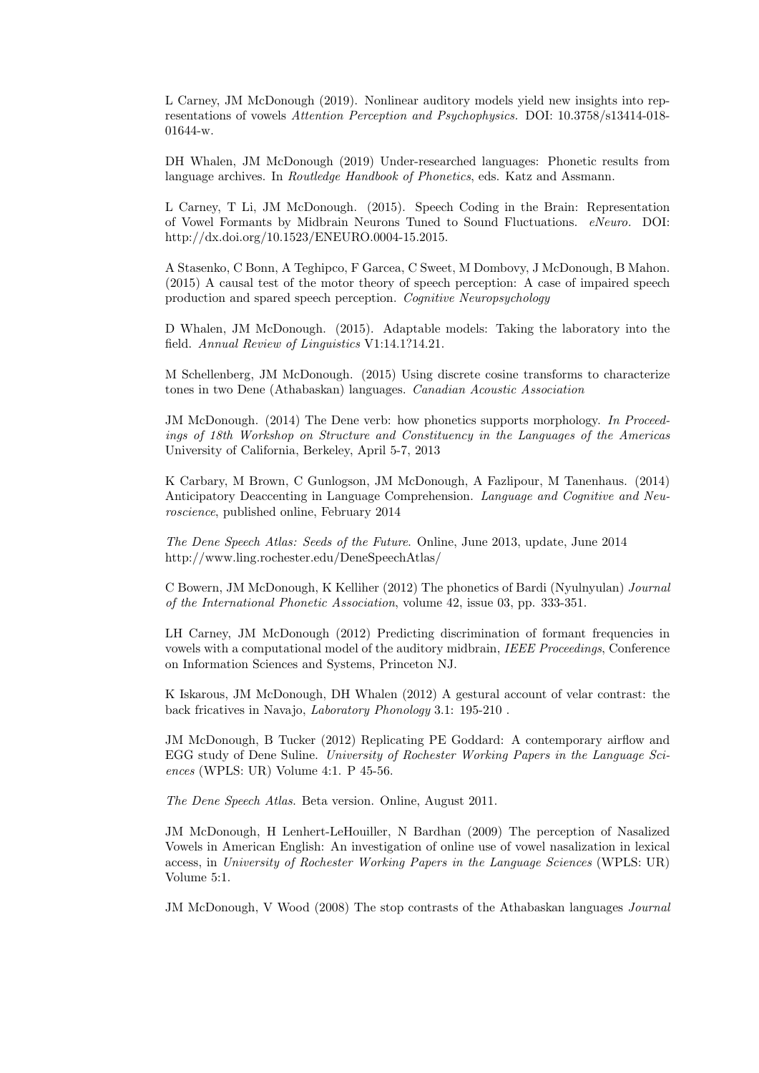L Carney, JM McDonough (2019). Nonlinear auditory models yield new insights into representations of vowels Attention Perception and Psychophysics. DOI: 10.3758/s13414-018- 01644-w.

DH Whalen, JM McDonough (2019) Under-researched languages: Phonetic results from language archives. In Routledge Handbook of Phonetics, eds. Katz and Assmann.

L Carney, T Li, JM McDonough. (2015). Speech Coding in the Brain: Representation of Vowel Formants by Midbrain Neurons Tuned to Sound Fluctuations. eNeuro. DOI: http://dx.doi.org/10.1523/ENEURO.0004-15.2015.

A Stasenko, C Bonn, A Teghipco, F Garcea, C Sweet, M Dombovy, J McDonough, B Mahon. (2015) A causal test of the motor theory of speech perception: A case of impaired speech production and spared speech perception. Cognitive Neuropsychology

D Whalen, JM McDonough. (2015). Adaptable models: Taking the laboratory into the field. Annual Review of Linguistics V1:14.1?14.21.

M Schellenberg, JM McDonough. (2015) Using discrete cosine transforms to characterize tones in two Dene (Athabaskan) languages. Canadian Acoustic Association

JM McDonough. (2014) The Dene verb: how phonetics supports morphology. In Proceedings of 18th Workshop on Structure and Constituency in the Languages of the Americas University of California, Berkeley, April 5-7, 2013

K Carbary, M Brown, C Gunlogson, JM McDonough, A Fazlipour, M Tanenhaus. (2014) Anticipatory Deaccenting in Language Comprehension. Language and Cognitive and Neuroscience, published online, February 2014

The Dene Speech Atlas: Seeds of the Future. Online, June 2013, update, June 2014 http://www.ling.rochester.edu/DeneSpeechAtlas/

C Bowern, JM McDonough, K Kelliher (2012) The phonetics of Bardi (Nyulnyulan) Journal of the International Phonetic Association, volume 42, issue 03, pp. 333-351.

LH Carney, JM McDonough (2012) Predicting discrimination of formant frequencies in vowels with a computational model of the auditory midbrain, IEEE Proceedings, Conference on Information Sciences and Systems, Princeton NJ.

K Iskarous, JM McDonough, DH Whalen (2012) A gestural account of velar contrast: the back fricatives in Navajo, Laboratory Phonology 3.1: 195-210 .

JM McDonough, B Tucker (2012) Replicating PE Goddard: A contemporary airflow and EGG study of Dene Suline. University of Rochester Working Papers in the Language Sciences (WPLS: UR) Volume 4:1. P 45-56.

The Dene Speech Atlas. Beta version. Online, August 2011.

JM McDonough, H Lenhert-LeHouiller, N Bardhan (2009) The perception of Nasalized Vowels in American English: An investigation of online use of vowel nasalization in lexical access, in University of Rochester Working Papers in the Language Sciences (WPLS: UR) Volume 5:1.

JM McDonough, V Wood (2008) The stop contrasts of the Athabaskan languages Journal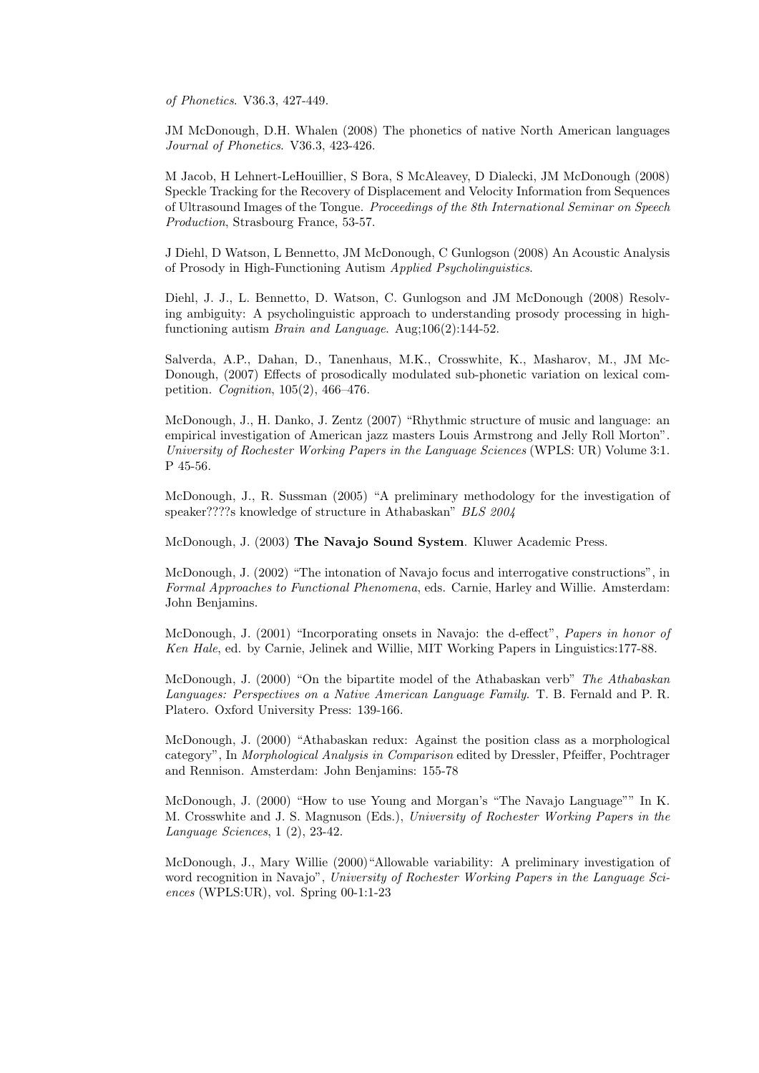of Phonetics. V36.3, 427-449.

JM McDonough, D.H. Whalen (2008) The phonetics of native North American languages Journal of Phonetics. V36.3, 423-426.

M Jacob, H Lehnert-LeHouillier, S Bora, S McAleavey, D Dialecki, JM McDonough (2008) Speckle Tracking for the Recovery of Displacement and Velocity Information from Sequences of Ultrasound Images of the Tongue. Proceedings of the 8th International Seminar on Speech Production, Strasbourg France, 53-57.

J Diehl, D Watson, L Bennetto, JM McDonough, C Gunlogson (2008) An Acoustic Analysis of Prosody in High-Functioning Autism Applied Psycholinguistics.

Diehl, J. J., L. Bennetto, D. Watson, C. Gunlogson and JM McDonough (2008) Resolving ambiguity: A psycholinguistic approach to understanding prosody processing in highfunctioning autism Brain and Language. Aug;106(2):144-52.

Salverda, A.P., Dahan, D., Tanenhaus, M.K., Crosswhite, K., Masharov, M., JM Mc-Donough, (2007) Effects of prosodically modulated sub-phonetic variation on lexical competition. Cognition, 105(2), 466–476.

McDonough, J., H. Danko, J. Zentz (2007) "Rhythmic structure of music and language: an empirical investigation of American jazz masters Louis Armstrong and Jelly Roll Morton". University of Rochester Working Papers in the Language Sciences (WPLS: UR) Volume 3:1. P 45-56.

McDonough, J., R. Sussman (2005) "A preliminary methodology for the investigation of speaker????s knowledge of structure in Athabaskan" BLS 2004

McDonough, J. (2003) The Navajo Sound System. Kluwer Academic Press.

McDonough, J. (2002) "The intonation of Navajo focus and interrogative constructions", in Formal Approaches to Functional Phenomena, eds. Carnie, Harley and Willie. Amsterdam: John Benjamins.

McDonough, J. (2001) "Incorporating onsets in Navajo: the d-effect", Papers in honor of Ken Hale, ed. by Carnie, Jelinek and Willie, MIT Working Papers in Linguistics:177-88.

McDonough, J. (2000) "On the bipartite model of the Athabaskan verb" The Athabaskan Languages: Perspectives on a Native American Language Family. T. B. Fernald and P. R. Platero. Oxford University Press: 139-166.

McDonough, J. (2000) "Athabaskan redux: Against the position class as a morphological category", In Morphological Analysis in Comparison edited by Dressler, Pfeiffer, Pochtrager and Rennison. Amsterdam: John Benjamins: 155-78

McDonough, J. (2000) "How to use Young and Morgan's "The Navajo Language"" In K. M. Crosswhite and J. S. Magnuson (Eds.), University of Rochester Working Papers in the Language Sciences, 1 (2), 23-42.

McDonough, J., Mary Willie (2000)"Allowable variability: A preliminary investigation of word recognition in Navajo", University of Rochester Working Papers in the Language Sciences (WPLS:UR), vol. Spring 00-1:1-23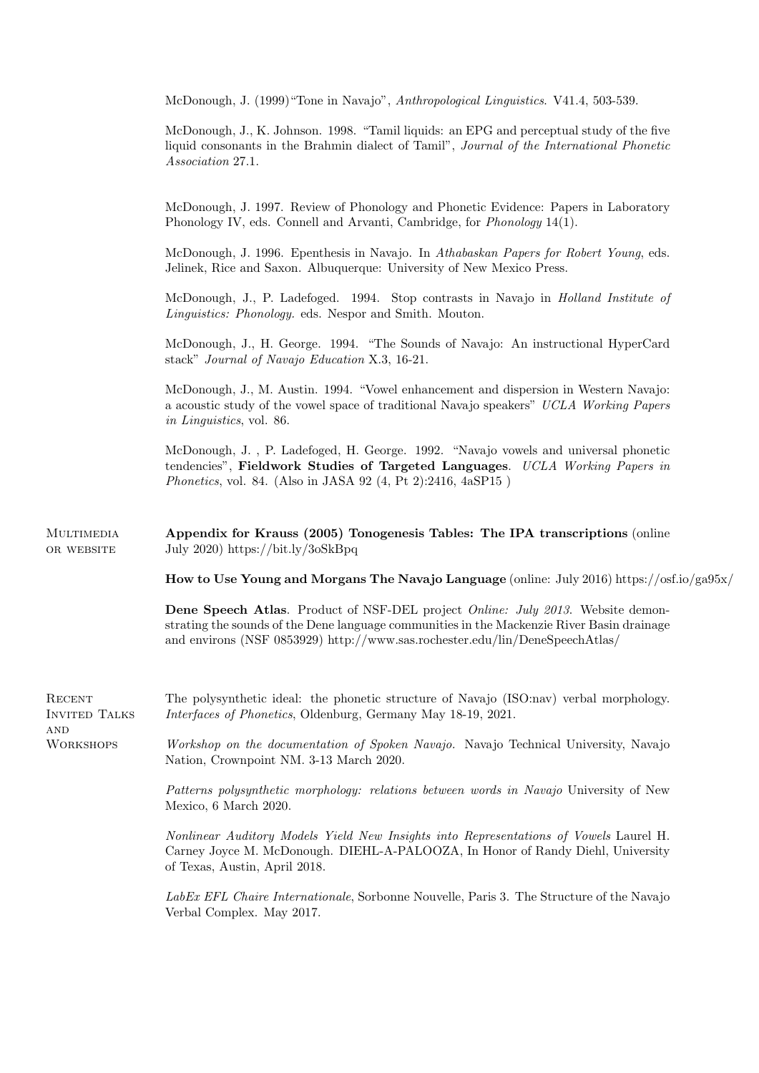McDonough, J. (1999)"Tone in Navajo", Anthropological Linguistics. V41.4, 503-539.

| McDonough, J., K. Johnson. 1998. "Tamil liquids: an EPG and perceptual study of the five  |  |
|-------------------------------------------------------------------------------------------|--|
| liquid consonants in the Brahmin dialect of Tamil", Journal of the International Phonetic |  |
| <i>Association 27.1.</i>                                                                  |  |

McDonough, J. 1997. Review of Phonology and Phonetic Evidence: Papers in Laboratory Phonology IV, eds. Connell and Arvanti, Cambridge, for *Phonology* 14(1).

McDonough, J. 1996. Epenthesis in Navajo. In Athabaskan Papers for Robert Young, eds. Jelinek, Rice and Saxon. Albuquerque: University of New Mexico Press.

McDonough, J., P. Ladefoged. 1994. Stop contrasts in Navajo in Holland Institute of Linguistics: Phonology. eds. Nespor and Smith. Mouton.

McDonough, J., H. George. 1994. "The Sounds of Navajo: An instructional HyperCard stack" Journal of Navajo Education X.3, 16-21.

McDonough, J., M. Austin. 1994. "Vowel enhancement and dispersion in Western Navajo: a acoustic study of the vowel space of traditional Navajo speakers" UCLA Working Papers in Linguistics, vol. 86.

McDonough, J. , P. Ladefoged, H. George. 1992. "Navajo vowels and universal phonetic tendencies", Fieldwork Studies of Targeted Languages. UCLA Working Papers in Phonetics, vol. 84. (Also in JASA 92 (4, Pt 2):2416, 4aSP15 )

**MULTIMEDIA OR WEBSITE** Appendix for Krauss (2005) Tonogenesis Tables: The IPA transcriptions (online July 2020) https://bit.ly/3oSkBpq

How to Use Young and Morgans The Navajo Language (online: July 2016) https://osf.io/ga95x/

Dene Speech Atlas. Product of NSF-DEL project *Online: July 2013*. Website demonstrating the sounds of the Dene language communities in the Mackenzie River Basin drainage and environs (NSF 0853929) http://www.sas.rochester.edu/lin/DeneSpeechAtlas/

**RECENT** Invited Talks The polysynthetic ideal: the phonetic structure of Navajo (ISO:nav) verbal morphology. Interfaces of Phonetics, Oldenburg, Germany May 18-19, 2021.

**AND WORKSHOPS** 

Workshop on the documentation of Spoken Navajo. Navajo Technical University, Navajo Nation, Crownpoint NM. 3-13 March 2020.

Patterns polysynthetic morphology: relations between words in Navajo University of New Mexico, 6 March 2020.

Nonlinear Auditory Models Yield New Insights into Representations of Vowels Laurel H. Carney Joyce M. McDonough. DIEHL-A-PALOOZA, In Honor of Randy Diehl, University of Texas, Austin, April 2018.

LabEx EFL Chaire Internationale, Sorbonne Nouvelle, Paris 3. The Structure of the Navajo Verbal Complex. May 2017.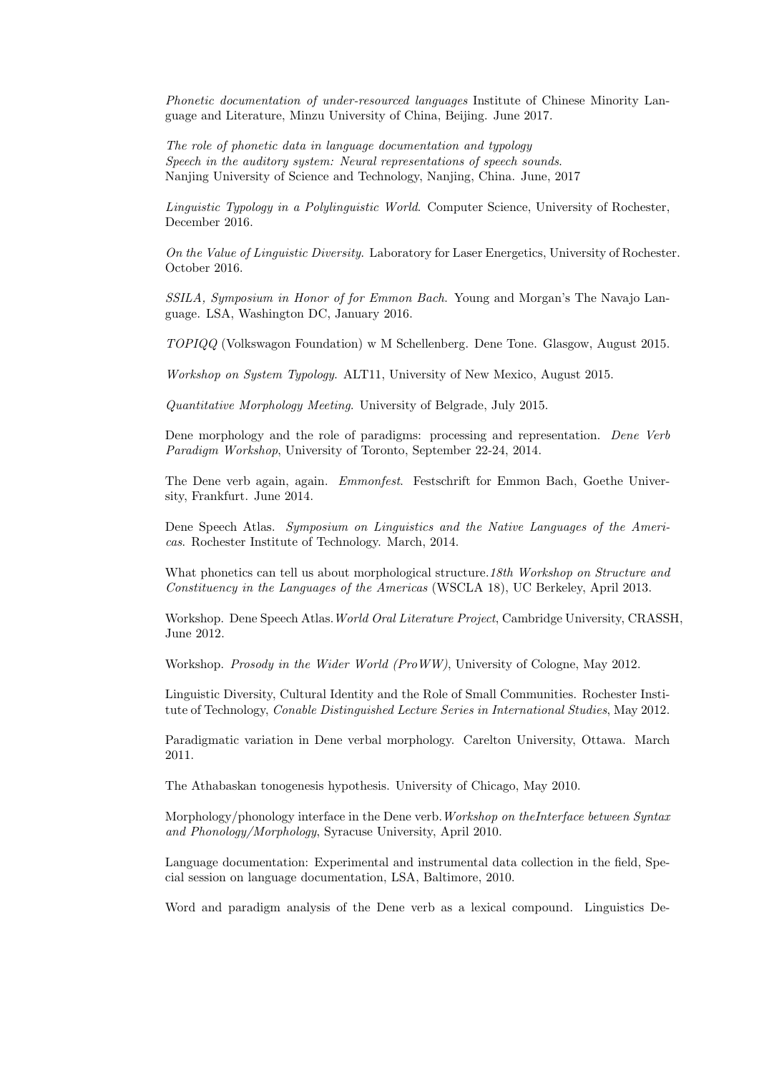Phonetic documentation of under-resourced languages Institute of Chinese Minority Language and Literature, Minzu University of China, Beijing. June 2017.

The role of phonetic data in language documentation and typology Speech in the auditory system: Neural representations of speech sounds. Nanjing University of Science and Technology, Nanjing, China. June, 2017

Linguistic Typology in a Polylinguistic World. Computer Science, University of Rochester, December 2016.

On the Value of Linguistic Diversity. Laboratory for Laser Energetics, University of Rochester. October 2016.

SSILA, Symposium in Honor of for Emmon Bach. Young and Morgan's The Navajo Language. LSA, Washington DC, January 2016.

TOPIQQ (Volkswagon Foundation) w M Schellenberg. Dene Tone. Glasgow, August 2015.

Workshop on System Typology. ALT11, University of New Mexico, August 2015.

Quantitative Morphology Meeting. University of Belgrade, July 2015.

Dene morphology and the role of paradigms: processing and representation. Dene Verb Paradigm Workshop, University of Toronto, September 22-24, 2014.

The Dene verb again, again. Emmonfest. Festschrift for Emmon Bach, Goethe University, Frankfurt. June 2014.

Dene Speech Atlas. Symposium on Linguistics and the Native Languages of the Americas. Rochester Institute of Technology. March, 2014.

What phonetics can tell us about morphological structure. 18th Workshop on Structure and Constituency in the Languages of the Americas (WSCLA 18), UC Berkeley, April 2013.

Workshop. Dene Speech Atlas.World Oral Literature Project, Cambridge University, CRASSH, June 2012.

Workshop. Prosody in the Wider World (ProWW), University of Cologne, May 2012.

Linguistic Diversity, Cultural Identity and the Role of Small Communities. Rochester Institute of Technology, Conable Distinguished Lecture Series in International Studies, May 2012.

Paradigmatic variation in Dene verbal morphology. Carelton University, Ottawa. March 2011.

The Athabaskan tonogenesis hypothesis. University of Chicago, May 2010.

Morphology/phonology interface in the Dene verb. Workshop on the Interface between Syntax and Phonology/Morphology, Syracuse University, April 2010.

Language documentation: Experimental and instrumental data collection in the field, Special session on language documentation, LSA, Baltimore, 2010.

Word and paradigm analysis of the Dene verb as a lexical compound. Linguistics De-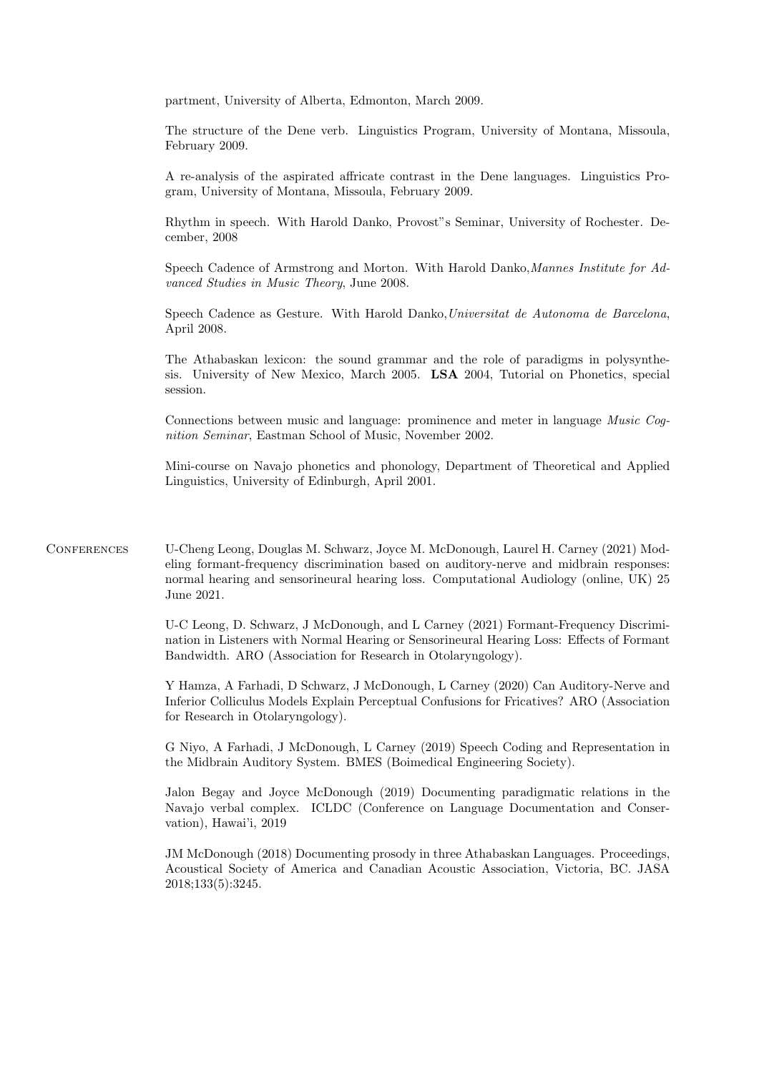partment, University of Alberta, Edmonton, March 2009.

The structure of the Dene verb. Linguistics Program, University of Montana, Missoula, February 2009.

A re-analysis of the aspirated affricate contrast in the Dene languages. Linguistics Program, University of Montana, Missoula, February 2009.

Rhythm in speech. With Harold Danko, Provost"s Seminar, University of Rochester. December, 2008

Speech Cadence of Armstrong and Morton. With Harold Danko,Mannes Institute for Advanced Studies in Music Theory, June 2008.

Speech Cadence as Gesture. With Harold Danko,Universitat de Autonoma de Barcelona, April 2008.

The Athabaskan lexicon: the sound grammar and the role of paradigms in polysynthesis. University of New Mexico, March 2005. LSA 2004, Tutorial on Phonetics, special session.

Connections between music and language: prominence and meter in language Music Cognition Seminar, Eastman School of Music, November 2002.

Mini-course on Navajo phonetics and phonology, Department of Theoretical and Applied Linguistics, University of Edinburgh, April 2001.

Conferences U-Cheng Leong, Douglas M. Schwarz, Joyce M. McDonough, Laurel H. Carney (2021) Modeling formant-frequency discrimination based on auditory-nerve and midbrain responses: normal hearing and sensorineural hearing loss. Computational Audiology (online, UK) 25 June 2021.

> U-C Leong, D. Schwarz, J McDonough, and L Carney (2021) Formant-Frequency Discrimination in Listeners with Normal Hearing or Sensorineural Hearing Loss: Effects of Formant Bandwidth. ARO (Association for Research in Otolaryngology).

> Y Hamza, A Farhadi, D Schwarz, J McDonough, L Carney (2020) Can Auditory-Nerve and Inferior Colliculus Models Explain Perceptual Confusions for Fricatives? ARO (Association for Research in Otolaryngology).

> G Niyo, A Farhadi, J McDonough, L Carney (2019) Speech Coding and Representation in the Midbrain Auditory System. BMES (Boimedical Engineering Society).

> Jalon Begay and Joyce McDonough (2019) Documenting paradigmatic relations in the Navajo verbal complex. ICLDC (Conference on Language Documentation and Conservation), Hawai'i, 2019

> JM McDonough (2018) Documenting prosody in three Athabaskan Languages. Proceedings, Acoustical Society of America and Canadian Acoustic Association, Victoria, BC. JASA 2018;133(5):3245.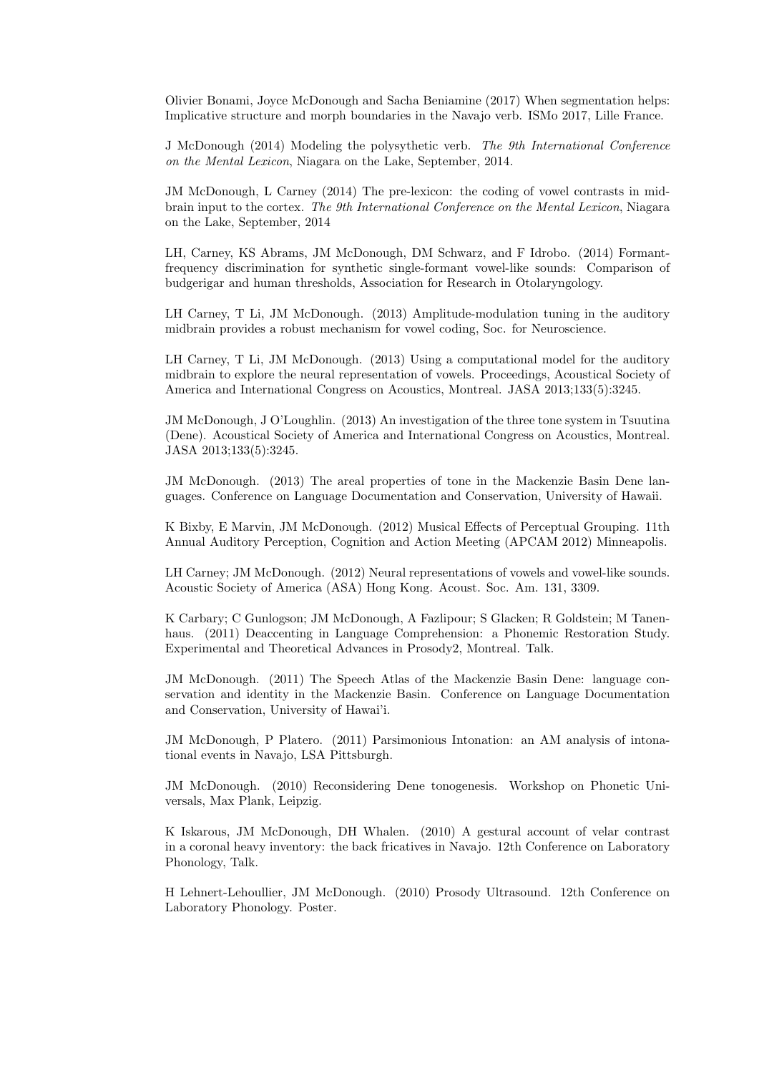Olivier Bonami, Joyce McDonough and Sacha Beniamine (2017) When segmentation helps: Implicative structure and morph boundaries in the Navajo verb. ISMo 2017, Lille France.

J McDonough (2014) Modeling the polysythetic verb. The 9th International Conference on the Mental Lexicon, Niagara on the Lake, September, 2014.

JM McDonough, L Carney (2014) The pre-lexicon: the coding of vowel contrasts in midbrain input to the cortex. The 9th International Conference on the Mental Lexicon, Niagara on the Lake, September, 2014

LH, Carney, KS Abrams, JM McDonough, DM Schwarz, and F Idrobo. (2014) Formantfrequency discrimination for synthetic single-formant vowel-like sounds: Comparison of budgerigar and human thresholds, Association for Research in Otolaryngology.

LH Carney, T Li, JM McDonough. (2013) Amplitude-modulation tuning in the auditory midbrain provides a robust mechanism for vowel coding, Soc. for Neuroscience.

LH Carney, T Li, JM McDonough. (2013) Using a computational model for the auditory midbrain to explore the neural representation of vowels. Proceedings, Acoustical Society of America and International Congress on Acoustics, Montreal. JASA 2013;133(5):3245.

JM McDonough, J O'Loughlin. (2013) An investigation of the three tone system in Tsuutina (Dene). Acoustical Society of America and International Congress on Acoustics, Montreal. JASA 2013;133(5):3245.

JM McDonough. (2013) The areal properties of tone in the Mackenzie Basin Dene languages. Conference on Language Documentation and Conservation, University of Hawaii.

K Bixby, E Marvin, JM McDonough. (2012) Musical Effects of Perceptual Grouping. 11th Annual Auditory Perception, Cognition and Action Meeting (APCAM 2012) Minneapolis.

LH Carney; JM McDonough. (2012) Neural representations of vowels and vowel-like sounds. Acoustic Society of America (ASA) Hong Kong. Acoust. Soc. Am. 131, 3309.

K Carbary; C Gunlogson; JM McDonough, A Fazlipour; S Glacken; R Goldstein; M Tanenhaus. (2011) Deaccenting in Language Comprehension: a Phonemic Restoration Study. Experimental and Theoretical Advances in Prosody2, Montreal. Talk.

JM McDonough. (2011) The Speech Atlas of the Mackenzie Basin Dene: language conservation and identity in the Mackenzie Basin. Conference on Language Documentation and Conservation, University of Hawai'i.

JM McDonough, P Platero. (2011) Parsimonious Intonation: an AM analysis of intonational events in Navajo, LSA Pittsburgh.

JM McDonough. (2010) Reconsidering Dene tonogenesis. Workshop on Phonetic Universals, Max Plank, Leipzig.

K Iskarous, JM McDonough, DH Whalen. (2010) A gestural account of velar contrast in a coronal heavy inventory: the back fricatives in Navajo. 12th Conference on Laboratory Phonology, Talk.

H Lehnert-Lehoullier, JM McDonough. (2010) Prosody Ultrasound. 12th Conference on Laboratory Phonology. Poster.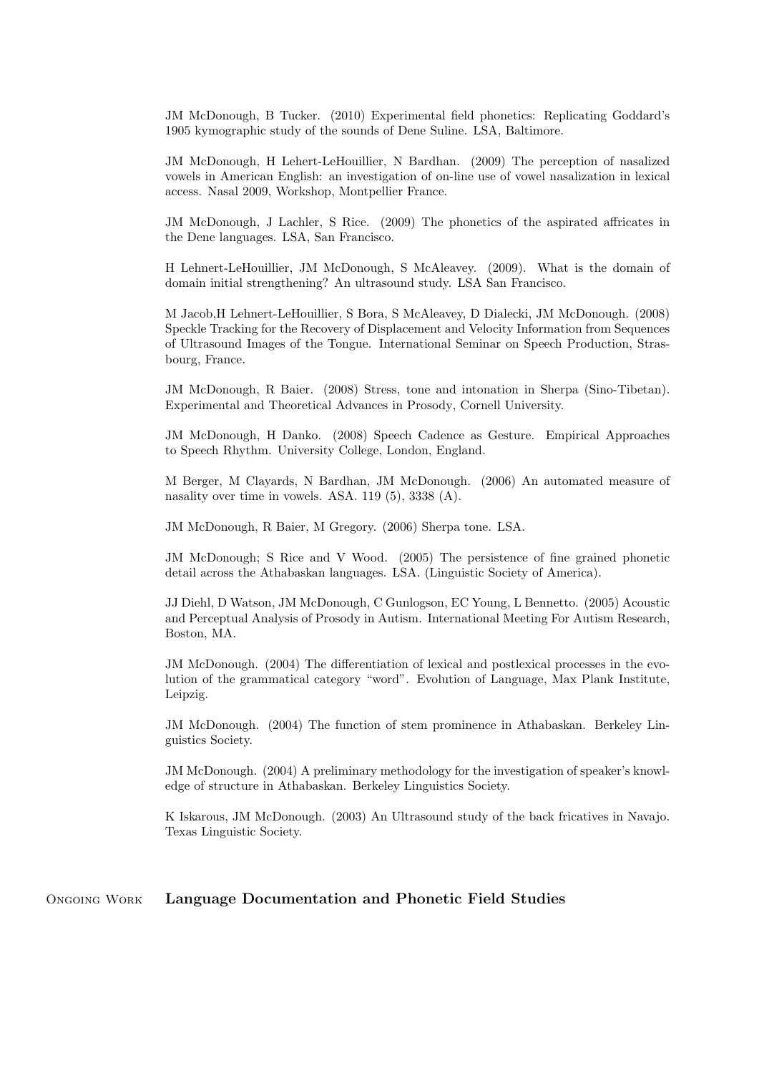JM McDonough, B Tucker. (2010) Experimental field phonetics: Replicating Goddard's 1905 kymographic study of the sounds of Dene Suline. LSA, Baltimore.

JM McDonough, H Lehert-LeHouillier, N Bardhan. (2009) The perception of nasalized vowels in American English: an investigation of on-line use of vowel nasalization in lexical access. Nasal 2009, Workshop, Montpellier France.

JM McDonough, J Lachler, S Rice. (2009) The phonetics of the aspirated affricates in the Dene languages. LSA, San Francisco.

H Lehnert-LeHouillier, JM McDonough, S McAleavey. (2009). What is the domain of domain initial strengthening? An ultrasound study. LSA San Francisco.

M Jacob,H Lehnert-LeHouillier, S Bora, S McAleavey, D Dialecki, JM McDonough. (2008) Speckle Tracking for the Recovery of Displacement and Velocity Information from Sequences of Ultrasound Images of the Tongue. International Seminar on Speech Production, Strasbourg, France.

JM McDonough, R Baier. (2008) Stress, tone and intonation in Sherpa (Sino-Tibetan). Experimental and Theoretical Advances in Prosody, Cornell University.

JM McDonough, H Danko. (2008) Speech Cadence as Gesture. Empirical Approaches to Speech Rhythm. University College, London, England.

M Berger, M Clayards, N Bardhan, JM McDonough. (2006) An automated measure of nasality over time in vowels. ASA. 119 (5), 3338 (A).

JM McDonough, R Baier, M Gregory. (2006) Sherpa tone. LSA.

JM McDonough; S Rice and V Wood. (2005) The persistence of fine grained phonetic detail across the Athabaskan languages. LSA. (Linguistic Society of America).

JJ Diehl, D Watson, JM McDonough, C Gunlogson, EC Young, L Bennetto. (2005) Acoustic and Perceptual Analysis of Prosody in Autism. International Meeting For Autism Research, Boston, MA.

JM McDonough. (2004) The differentiation of lexical and postlexical processes in the evolution of the grammatical category "word". Evolution of Language, Max Plank Institute, Leipzig.

JM McDonough. (2004) The function of stem prominence in Athabaskan. Berkeley Linguistics Society.

JM McDonough. (2004) A preliminary methodology for the investigation of speaker's knowledge of structure in Athabaskan. Berkeley Linguistics Society.

K Iskarous, JM McDonough. (2003) An Ultrasound study of the back fricatives in Navajo. Texas Linguistic Society.

# Ongoing Work Language Documentation and Phonetic Field Studies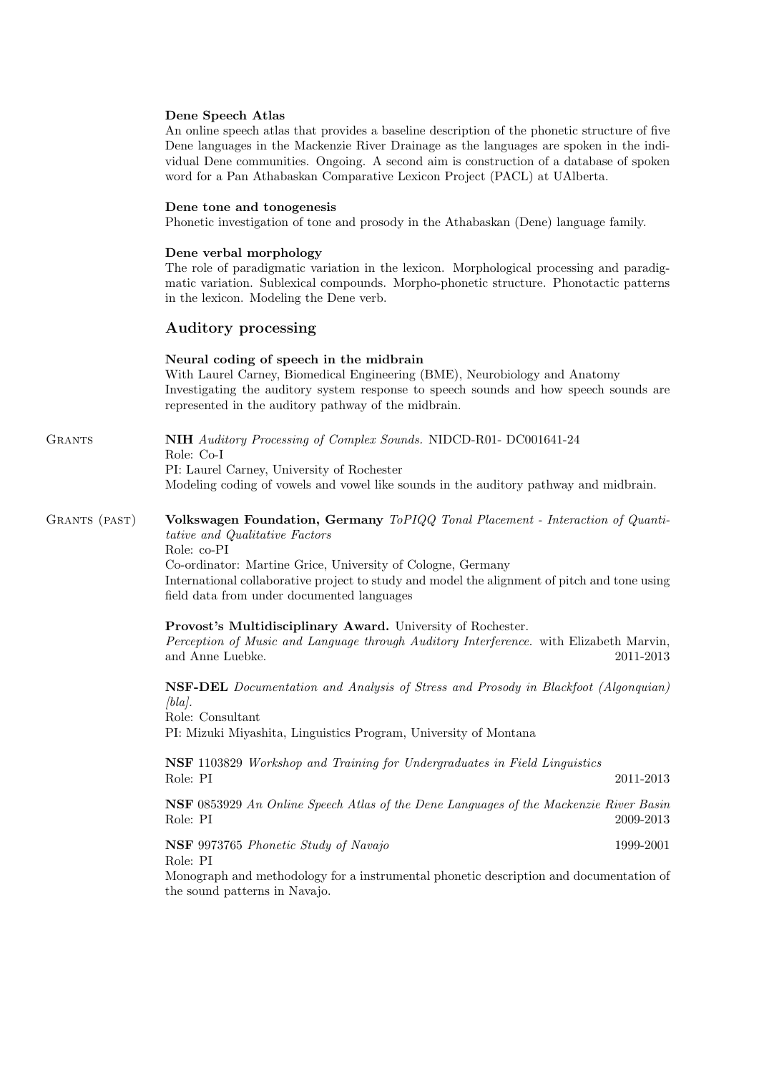## Dene Speech Atlas

An online speech atlas that provides a baseline description of the phonetic structure of five Dene languages in the Mackenzie River Drainage as the languages are spoken in the individual Dene communities. Ongoing. A second aim is construction of a database of spoken word for a Pan Athabaskan Comparative Lexicon Project (PACL) at UAlberta.

#### Dene tone and tonogenesis

Phonetic investigation of tone and prosody in the Athabaskan (Dene) language family.

#### Dene verbal morphology

The role of paradigmatic variation in the lexicon. Morphological processing and paradigmatic variation. Sublexical compounds. Morpho-phonetic structure. Phonotactic patterns in the lexicon. Modeling the Dene verb.

## Auditory processing

#### Neural coding of speech in the midbrain

With Laurel Carney, Biomedical Engineering (BME), Neurobiology and Anatomy Investigating the auditory system response to speech sounds and how speech sounds are represented in the auditory pathway of the midbrain.

GRANTS **NIH** Auditory Processing of Complex Sounds. NIDCD-R01- DC001641-24 Role: Co-I PI: Laurel Carney, University of Rochester Modeling coding of vowels and vowel like sounds in the auditory pathway and midbrain.

## GRANTS (PAST) Volkswagen Foundation, Germany ToPIQQ Tonal Placement - Interaction of Quantitative and Qualitative Factors Role: co-PI

Co-ordinator: Martine Grice, University of Cologne, Germany International collaborative project to study and model the alignment of pitch and tone using field data from under documented languages

#### Provost's Multidisciplinary Award. University of Rochester.

Perception of Music and Language through Auditory Interference. with Elizabeth Marvin, and Anne Luebke. 2011-2013

NSF-DEL Documentation and Analysis of Stress and Prosody in Blackfoot (Algonquian)  $[bla]$ .

Role: Consultant PI: Mizuki Miyashita, Linguistics Program, University of Montana

NSF 1103829 Workshop and Training for Undergraduates in Field Linguistics Role: PI 2011-2013

NSF 0853929 An Online Speech Atlas of the Dene Languages of the Mackenzie River Basin Role: PI 2009-2013

NSF 9973765 Phonetic Study of Navajo 1999-2001 Role: PI

Monograph and methodology for a instrumental phonetic description and documentation of the sound patterns in Navajo.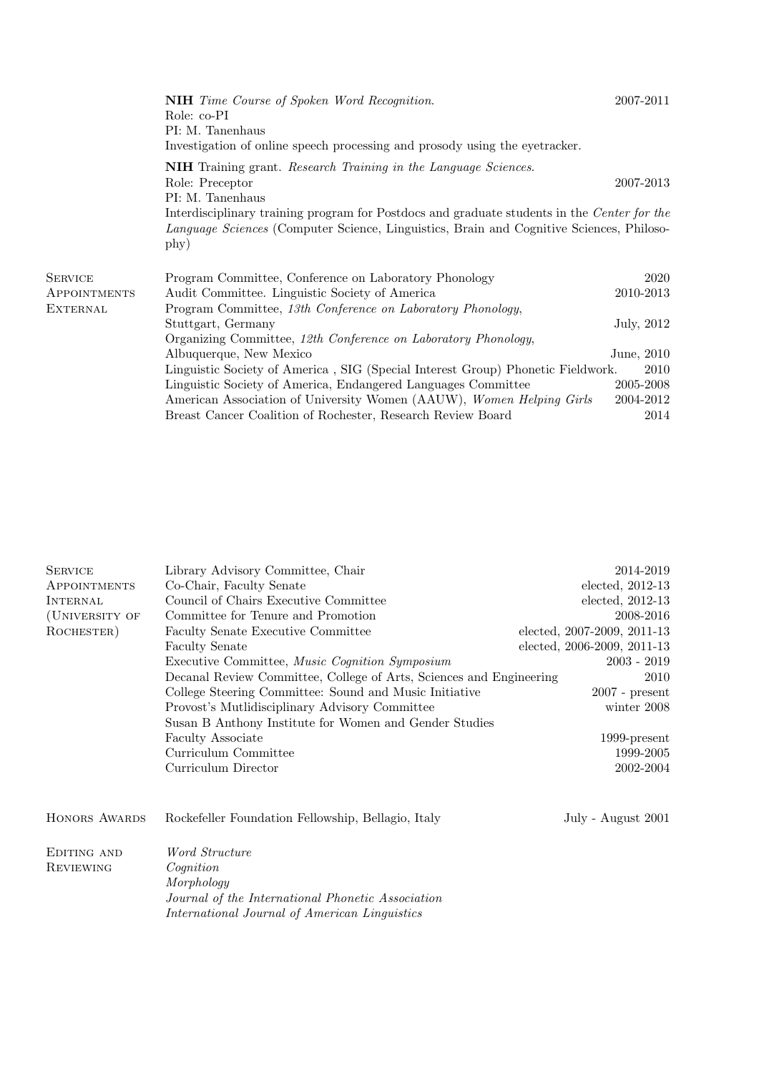|                 | <b>NIH</b> Time Course of Spoken Word Recognition.<br>Role: co-PI<br>PI: M. Tanenhaus<br>Investigation of online speech processing and prosody using the eyetracker.                                   | 2007-2011  |  |
|-----------------|--------------------------------------------------------------------------------------------------------------------------------------------------------------------------------------------------------|------------|--|
|                 | NIH Training grant. Research Training in the Language Sciences.<br>Role: Preceptor<br>PI: M. Tanenhaus                                                                                                 | 2007-2013  |  |
|                 | Interdisciplinary training program for Postdocs and graduate students in the Center for the<br><i>Language Sciences</i> (Computer Science, Linguistics, Brain and Cognitive Sciences, Philoso-<br>phy) |            |  |
| <b>SERVICE</b>  | Program Committee, Conference on Laboratory Phonology                                                                                                                                                  | 2020       |  |
| APPOINTMENTS    | Audit Committee. Linguistic Society of America                                                                                                                                                         | 2010-2013  |  |
| <b>EXTERNAL</b> | Program Committee, 13th Conference on Laboratory Phonology,                                                                                                                                            |            |  |
|                 | Stuttgart, Germany                                                                                                                                                                                     | July, 2012 |  |
|                 | Organizing Committee, 12th Conference on Laboratory Phonology,                                                                                                                                         |            |  |
|                 | Albuquerque, New Mexico                                                                                                                                                                                | June, 2010 |  |
|                 | Linguistic Society of America, SIG (Special Interest Group) Phonetic Fieldwork.<br>2010                                                                                                                |            |  |
|                 | Linguistic Society of America, Endangered Languages Committee                                                                                                                                          | 2005-2008  |  |
|                 | American Association of University Women (AAUW), Women Helping Girls                                                                                                                                   | 2004-2012  |  |
|                 | Breast Cancer Coalition of Rochester, Research Review Board                                                                                                                                            | 2014       |  |

| <b>SERVICE</b>   | Library Advisory Committee, Chair                                   | 2014-2019                   |
|------------------|---------------------------------------------------------------------|-----------------------------|
|                  |                                                                     |                             |
| APPOINTMENTS     | Co-Chair, Faculty Senate                                            | $elected, 2012-13$          |
| <b>INTERNAL</b>  | Council of Chairs Executive Committee                               | elected, $2012-13$          |
| (UNIVERSITY OF   | Committee for Tenure and Promotion                                  | 2008-2016                   |
| ROCHESTER)       | Faculty Senate Executive Committee                                  | elected, 2007-2009, 2011-13 |
|                  | <b>Faculty Senate</b>                                               | elected, 2006-2009, 2011-13 |
|                  | Executive Committee, Music Cognition Symposium                      | $2003 - 2019$               |
|                  | Decanal Review Committee, College of Arts, Sciences and Engineering | 2010                        |
|                  | College Steering Committee: Sound and Music Initiative              | $2007$ - present            |
|                  | Provost's Mutlidisciplinary Advisory Committee                      | winter 2008                 |
|                  | Susan B Anthony Institute for Women and Gender Studies              |                             |
|                  | Faculty Associate                                                   | $1999$ -present             |
|                  | Curriculum Committee                                                | 1999-2005                   |
|                  | Curriculum Director                                                 | 2002-2004                   |
|                  |                                                                     |                             |
|                  |                                                                     |                             |
| HONORS AWARDS    | Rockefeller Foundation Fellowship, Bellagio, Italy                  | July - August 2001          |
| EDITING AND      | Word Structure                                                      |                             |
| <b>REVIEWING</b> | $\mathcal{C}$ <i>ognition</i>                                       |                             |
|                  | Morphology                                                          |                             |
|                  |                                                                     |                             |
|                  | Journal of the International Phonetic Association                   |                             |
|                  | International Journal of American Linguistics                       |                             |